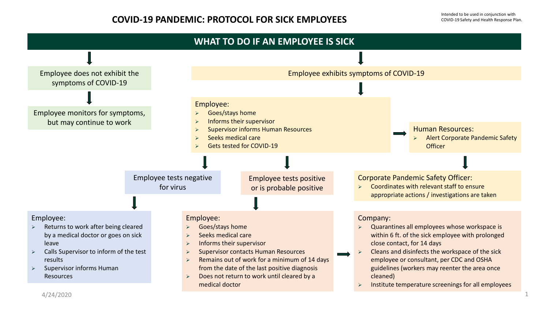## **COVID-19 PANDEMIC: PROTOCOL FOR SICK EMPLOYEES**